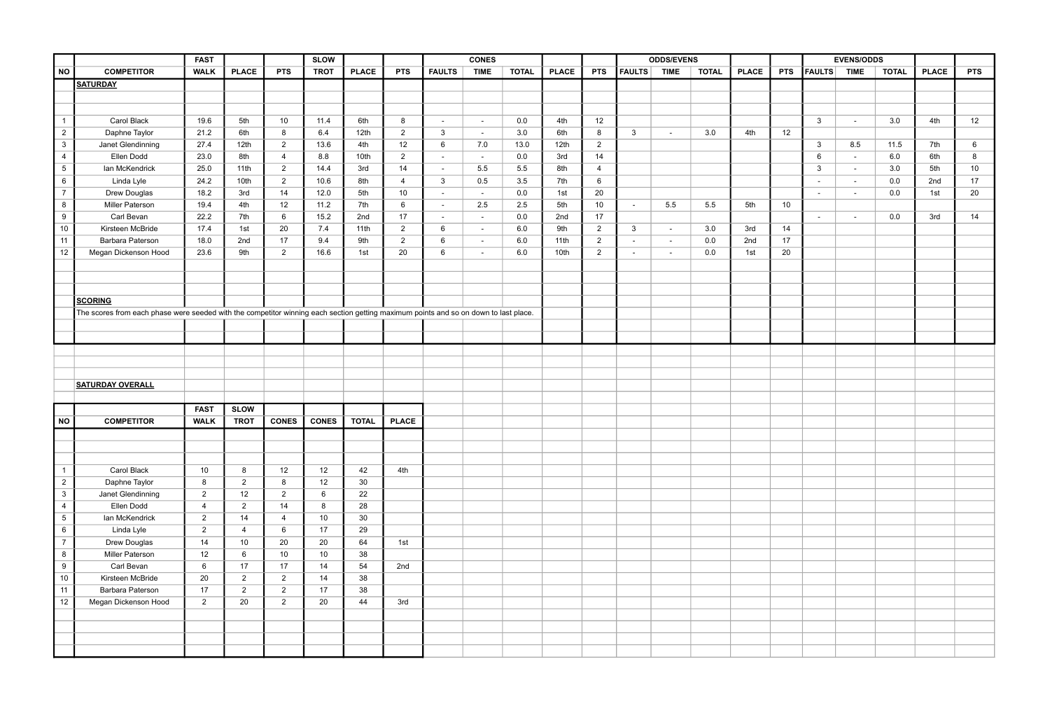|                 |                                                                                                                                      | <b>FAST</b>     |                  |                 | <b>SLOW</b>  |                 |                |                          | <b>CONES</b> |              |              |                 |                          | <b>ODDS/EVENS</b>        |              |              |            |                | <b>EVENS/ODDS</b>        |              |              |            |
|-----------------|--------------------------------------------------------------------------------------------------------------------------------------|-----------------|------------------|-----------------|--------------|-----------------|----------------|--------------------------|--------------|--------------|--------------|-----------------|--------------------------|--------------------------|--------------|--------------|------------|----------------|--------------------------|--------------|--------------|------------|
| <b>NO</b>       | <b>COMPETITOR</b>                                                                                                                    | <b>WALK</b>     | <b>PLACE</b>     | <b>PTS</b>      | <b>TROT</b>  | <b>PLACE</b>    | <b>PTS</b>     | <b>FAULTS</b>            | <b>TIME</b>  | <b>TOTAL</b> | <b>PLACE</b> | <b>PTS</b>      | <b>FAULTS</b>            | <b>TIME</b>              | <b>TOTAL</b> | <b>PLACE</b> | <b>PTS</b> | $ $ FAULTS $ $ | <b>TIME</b>              | <b>TOTAL</b> | <b>PLACE</b> | <b>PTS</b> |
|                 | <b>SATURDAY</b>                                                                                                                      |                 |                  |                 |              |                 |                |                          |              |              |              |                 |                          |                          |              |              |            |                |                          |              |              |            |
|                 |                                                                                                                                      |                 |                  |                 |              |                 |                |                          |              |              |              |                 |                          |                          |              |              |            |                |                          |              |              |            |
|                 |                                                                                                                                      |                 |                  |                 |              |                 |                |                          |              |              |              |                 |                          |                          |              |              |            |                |                          |              |              |            |
|                 | Carol Black                                                                                                                          | 19.6            | 5th              | 10              | 11.4         | 6th             | 8              | $\sim$                   | $\sim$       | 0.0          | 4th          | 12              |                          |                          |              |              |            | $\mathbf{3}$   | $\sim$                   | 3.0          | 4th          | 12         |
| $\overline{2}$  | Daphne Taylor                                                                                                                        | 21.2            | 6th              | 8               | 6.4          | 12th            | $\overline{2}$ | 3                        | $\sim$       | 3.0          | 6th          | 8               | $\mathbf{3}$             |                          | 3.0          | 4th          | 12         |                |                          |              |              |            |
| $3\overline{3}$ | Janet Glendinning                                                                                                                    | 27.4            | 12th             | $\overline{2}$  | 13.6         | 4th             | 12             | 6                        | 7.0          | 13.0         | 12th         | $\overline{2}$  |                          |                          |              |              |            | $\mathbf{3}$   | 8.5                      | 11.5         | 7th          | 6          |
| $\overline{4}$  | Ellen Dodd                                                                                                                           | 23.0            | 8th              | $\overline{4}$  | 8.8          | 10th            | $\overline{2}$ | $\sim$                   | $\sim$ $-$   | 0.0          | 3rd          | 14              |                          |                          |              |              |            | 6              | $\blacksquare$           | 6.0          | 6th          | 8          |
| $5\overline{)}$ | Ian McKendrick                                                                                                                       | 25.0            | 11th             | $\overline{2}$  | 14.4         | 3rd             | 14             | $\overline{\phantom{a}}$ | 5.5          | 5.5          | 8th          | $\overline{4}$  |                          |                          |              |              |            | $\mathbf{3}$   | $\overline{\phantom{a}}$ | 3.0          | 5th          | 10         |
| $6\phantom{.}6$ | Linda Lyle                                                                                                                           | 24.2            | 10 <sub>th</sub> | $\overline{2}$  | 10.6         | 8th             | 4              | 3 <sup>5</sup>           | 0.5          | 3.5          | 7th          | $6\phantom{.}6$ |                          |                          |              |              |            | $\sim$         | $\sim$                   | 0.0          | 2nd          | 17         |
| $\overline{7}$  | Drew Douglas                                                                                                                         | 18.2            | 3rd              | 14              | 12.0         | 5th             | 10             | $\sim$                   | $\sim$       | 0.0          | 1st          | 20              |                          |                          |              |              |            | $\sim$         | $\blacksquare$           | 0.0          | 1st          | 20         |
| 8               | <b>Miller Paterson</b>                                                                                                               | 19.4            | 4th              | 12              | 11.2         | 7th             | 6              | $\overline{\phantom{a}}$ | 2.5          | 2.5          | 5th          | 10 <sup>1</sup> | $\overline{\phantom{0}}$ | 5.5                      | 5.5          | 5th          | 10         |                |                          |              |              |            |
| 9               | Carl Bevan                                                                                                                           | 22.2            | 7th              | $6\phantom{.}6$ | 15.2         | 2nd             | 17             | $\sim$                   | $\sim$       | 0.0          | 2nd          | 17              |                          |                          |              |              |            | $\sim$         | $\overline{\phantom{a}}$ | 0.0          | 3rd          | 14         |
| 10              | Kirsteen McBride                                                                                                                     | 17.4            | 1st              | 20              | 7.4          | 11th            | $\overline{2}$ | 6                        | $\sim$       | 6.0          | 9th          | $\overline{2}$  | $\mathbf{3}$             | $\sim$                   | 3.0          | 3rd          | 14         |                |                          |              |              |            |
| 11              | Barbara Paterson                                                                                                                     | 18.0            | 2nd              | 17              | 9.4          | 9th             | $\overline{2}$ | 6                        | $\sim$       | 6.0          | 11th         | $\overline{2}$  |                          | $\overline{\phantom{0}}$ | 0.0          | 2nd          | 17         |                |                          |              |              |            |
| 12 <sub>2</sub> | Megan Dickenson Hood                                                                                                                 | 23.6            | 9th              | $\overline{2}$  | 16.6         | 1st             | 20             | 6                        | $\sim$       | 6.0          | 10th         | $\overline{2}$  | $\overline{\phantom{a}}$ | $\sim$                   | 0.0          | 1st          | 20         |                |                          |              |              |            |
|                 |                                                                                                                                      |                 |                  |                 |              |                 |                |                          |              |              |              |                 |                          |                          |              |              |            |                |                          |              |              |            |
|                 |                                                                                                                                      |                 |                  |                 |              |                 |                |                          |              |              |              |                 |                          |                          |              |              |            |                |                          |              |              |            |
|                 |                                                                                                                                      |                 |                  |                 |              |                 |                |                          |              |              |              |                 |                          |                          |              |              |            |                |                          |              |              |            |
|                 | <b>SCORING</b>                                                                                                                       |                 |                  |                 |              |                 |                |                          |              |              |              |                 |                          |                          |              |              |            |                |                          |              |              |            |
|                 | The scores from each phase were seeded with the competitor winning each section getting maximum points and so on down to last place. |                 |                  |                 |              |                 |                |                          |              |              |              |                 |                          |                          |              |              |            |                |                          |              |              |            |
|                 |                                                                                                                                      |                 |                  |                 |              |                 |                |                          |              |              |              |                 |                          |                          |              |              |            |                |                          |              |              |            |
|                 |                                                                                                                                      |                 |                  |                 |              |                 |                |                          |              |              |              |                 |                          |                          |              |              |            |                |                          |              |              |            |
|                 |                                                                                                                                      |                 |                  |                 |              |                 |                |                          |              |              |              |                 |                          |                          |              |              |            |                |                          |              |              |            |
|                 |                                                                                                                                      |                 |                  |                 |              |                 |                |                          |              |              |              |                 |                          |                          |              |              |            |                |                          |              |              |            |
|                 |                                                                                                                                      |                 |                  |                 |              |                 |                |                          |              |              |              |                 |                          |                          |              |              |            |                |                          |              |              |            |
|                 | <b>SATURDAY OVERALL</b>                                                                                                              |                 |                  |                 |              |                 |                |                          |              |              |              |                 |                          |                          |              |              |            |                |                          |              |              |            |
|                 |                                                                                                                                      |                 |                  |                 |              |                 |                |                          |              |              |              |                 |                          |                          |              |              |            |                |                          |              |              |            |
|                 |                                                                                                                                      | <b>FAST</b>     | <b>SLOW</b>      |                 |              |                 |                |                          |              |              |              |                 |                          |                          |              |              |            |                |                          |              |              |            |
| <b>NO</b>       | <b>COMPETITOR</b>                                                                                                                    | <b>WALK</b>     | <b>TROT</b>      | <b>CONES</b>    | <b>CONES</b> | <b>TOTAL</b>    | <b>PLACE</b>   |                          |              |              |              |                 |                          |                          |              |              |            |                |                          |              |              |            |
|                 |                                                                                                                                      |                 |                  |                 |              |                 |                |                          |              |              |              |                 |                          |                          |              |              |            |                |                          |              |              |            |
|                 |                                                                                                                                      |                 |                  |                 |              |                 |                |                          |              |              |              |                 |                          |                          |              |              |            |                |                          |              |              |            |
|                 |                                                                                                                                      |                 |                  |                 |              |                 |                |                          |              |              |              |                 |                          |                          |              |              |            |                |                          |              |              |            |
| $\overline{1}$  | Carol Black                                                                                                                          | 10              | $8\phantom{1}$   | 12              | 12           | 42              | 4th            |                          |              |              |              |                 |                          |                          |              |              |            |                |                          |              |              |            |
| $\overline{2}$  | Daphne Taylor                                                                                                                        | 8               | $\overline{2}$   | 8               | 12           | 30 <sup>°</sup> |                |                          |              |              |              |                 |                          |                          |              |              |            |                |                          |              |              |            |
| $\mathbf{3}$    | Janet Glendinning                                                                                                                    | $\overline{2}$  | 12 <sup>2</sup>  | $\overline{2}$  | 6            | 22              |                |                          |              |              |              |                 |                          |                          |              |              |            |                |                          |              |              |            |
| $\overline{4}$  | Ellen Dodd                                                                                                                           | 4               | $\overline{2}$   | 14              | 8            | 28              |                |                          |              |              |              |                 |                          |                          |              |              |            |                |                          |              |              |            |
| $5\overline{)}$ | Ian McKendrick                                                                                                                       | $\overline{2}$  | 14               | 4               | 10           | 30              |                |                          |              |              |              |                 |                          |                          |              |              |            |                |                          |              |              |            |
| $6\phantom{.}6$ | Linda Lyle                                                                                                                           | $\overline{2}$  | $\overline{4}$   | $6\phantom{.}6$ | 17           | 29              |                |                          |              |              |              |                 |                          |                          |              |              |            |                |                          |              |              |            |
| $\overline{7}$  | Drew Douglas                                                                                                                         | 14              | 10 <sup>1</sup>  | 20              | 20           | 64              | 1st            |                          |              |              |              |                 |                          |                          |              |              |            |                |                          |              |              |            |
| 8               | <b>Miller Paterson</b>                                                                                                               | 12              | 6                | 10 <sup>°</sup> | 10           | 38              |                |                          |              |              |              |                 |                          |                          |              |              |            |                |                          |              |              |            |
| 9               | Carl Bevan                                                                                                                           | $6\overline{6}$ | 17               | 17              | 14           | 54              | 2nd            |                          |              |              |              |                 |                          |                          |              |              |            |                |                          |              |              |            |
| 10              | Kirsteen McBride                                                                                                                     | 20              | $\overline{2}$   | $\overline{2}$  | 14           | 38              |                |                          |              |              |              |                 |                          |                          |              |              |            |                |                          |              |              |            |
| 11              | Barbara Paterson                                                                                                                     | 17              | $\overline{2}$   | $\overline{2}$  | 17           | 38              |                |                          |              |              |              |                 |                          |                          |              |              |            |                |                          |              |              |            |
| 12              | Megan Dickenson Hood                                                                                                                 | $\overline{2}$  | 20               | $\overline{2}$  | 20           | 44              | 3rd            |                          |              |              |              |                 |                          |                          |              |              |            |                |                          |              |              |            |
|                 |                                                                                                                                      |                 |                  |                 |              |                 |                |                          |              |              |              |                 |                          |                          |              |              |            |                |                          |              |              |            |
|                 |                                                                                                                                      |                 |                  |                 |              |                 |                |                          |              |              |              |                 |                          |                          |              |              |            |                |                          |              |              |            |
|                 |                                                                                                                                      |                 |                  |                 |              |                 |                |                          |              |              |              |                 |                          |                          |              |              |            |                |                          |              |              |            |
|                 |                                                                                                                                      |                 |                  |                 |              |                 |                |                          |              |              |              |                 |                          |                          |              |              |            |                |                          |              |              |            |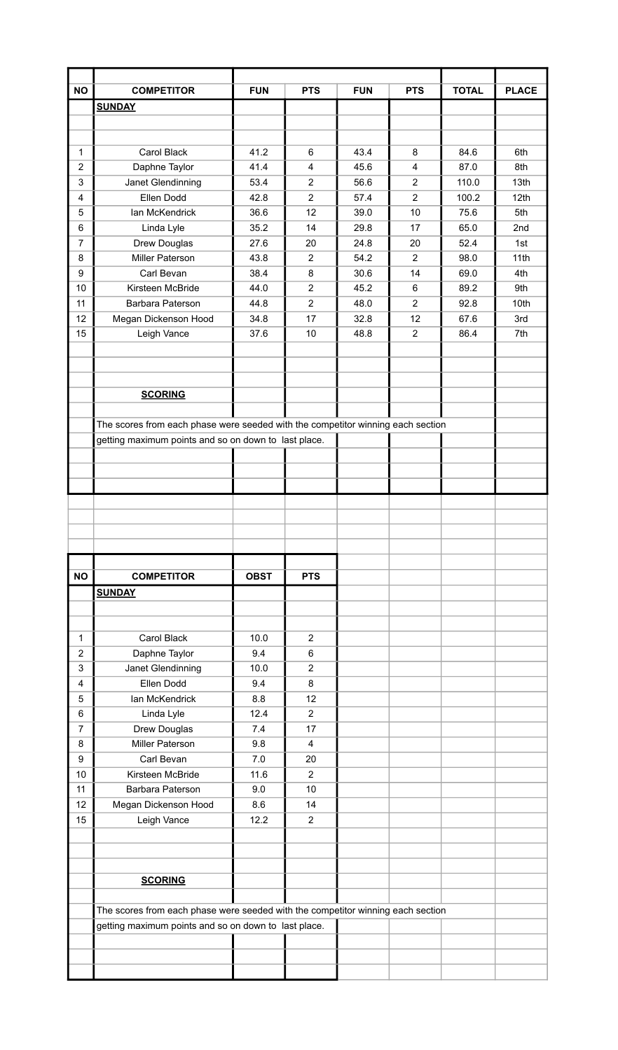| <b>NO</b>        | <b>COMPETITOR</b>                                                               | <b>FUN</b>   | <b>PTS</b>                       | <b>FUN</b>   | <b>PTS</b>                       | <b>TOTAL</b>   | <b>PLACE</b>             |
|------------------|---------------------------------------------------------------------------------|--------------|----------------------------------|--------------|----------------------------------|----------------|--------------------------|
|                  | <b>SUNDAY</b>                                                                   |              |                                  |              |                                  |                |                          |
|                  |                                                                                 |              |                                  |              |                                  |                |                          |
|                  |                                                                                 |              |                                  |              |                                  |                |                          |
| 1                | <b>Carol Black</b>                                                              | 41.2         | $6\phantom{1}$                   | 43.4         | 8                                | 84.6           | 6th                      |
| $\overline{2}$   | Daphne Taylor                                                                   | 41.4         | 4                                | 45.6         | 4                                | 87.0           | 8th                      |
| 3<br>4           | Janet Glendinning<br>Ellen Dodd                                                 | 53.4<br>42.8 | $\overline{2}$<br>$\overline{2}$ | 56.6<br>57.4 | $\overline{2}$<br>$\overline{2}$ | 110.0<br>100.2 | 13 <sub>th</sub><br>12th |
| 5                | Ian McKendrick                                                                  | 36.6         | 12                               | 39.0         | 10                               | 75.6           | 5th                      |
| 6                | Linda Lyle                                                                      | 35.2         | 14                               | 29.8         | 17                               | 65.0           | 2nd                      |
| $\overline{7}$   | Drew Douglas                                                                    | 27.6         | 20                               | 24.8         | 20                               | 52.4           | 1st                      |
| 8                | <b>Miller Paterson</b>                                                          | 43.8         | $\overline{2}$                   | 54.2         | $\overline{2}$                   | 98.0           | 11th                     |
| 9                | Carl Bevan                                                                      | 38.4         | 8                                | 30.6         | 14                               | 69.0           | 4th                      |
| 10               | Kirsteen McBride                                                                | 44.0         | $\overline{2}$                   | 45.2         | 6                                | 89.2           | 9th                      |
| 11               | Barbara Paterson                                                                | 44.8         | $\overline{2}$                   | 48.0         | $\overline{2}$                   | 92.8           | 10th                     |
| 12               | Megan Dickenson Hood                                                            | 34.8         | 17                               | 32.8         | 12                               | 67.6           | 3rd                      |
| 15               | Leigh Vance                                                                     | 37.6         | 10                               | 48.8         | $\overline{2}$                   | 86.4           | 7th                      |
|                  |                                                                                 |              |                                  |              |                                  |                |                          |
|                  |                                                                                 |              |                                  |              |                                  |                |                          |
|                  |                                                                                 |              |                                  |              |                                  |                |                          |
|                  | <b>SCORING</b>                                                                  |              |                                  |              |                                  |                |                          |
|                  |                                                                                 |              |                                  |              |                                  |                |                          |
|                  | The scores from each phase were seeded with the competitor winning each section |              |                                  |              |                                  |                |                          |
|                  | getting maximum points and so on down to last place.                            |              |                                  |              |                                  |                |                          |
|                  |                                                                                 |              |                                  |              |                                  |                |                          |
|                  |                                                                                 |              |                                  |              |                                  |                |                          |
|                  |                                                                                 |              |                                  |              |                                  |                |                          |
|                  |                                                                                 |              |                                  |              |                                  |                |                          |
|                  |                                                                                 |              |                                  |              |                                  |                |                          |
|                  |                                                                                 |              |                                  |              |                                  |                |                          |
|                  |                                                                                 |              |                                  |              |                                  |                |                          |
|                  |                                                                                 |              |                                  |              |                                  |                |                          |
| <b>NO</b>        | <b>COMPETITOR</b>                                                               | <b>OBST</b>  | <b>PTS</b>                       |              |                                  |                |                          |
|                  | <b>SUNDAY</b>                                                                   |              |                                  |              |                                  |                |                          |
|                  |                                                                                 |              |                                  |              |                                  |                |                          |
|                  |                                                                                 |              |                                  |              |                                  |                |                          |
| 1                | Carol Black                                                                     | 10.0         | $\overline{2}$                   |              |                                  |                |                          |
| $\overline{2}$   | Daphne Taylor                                                                   | 9.4          | 6                                |              |                                  |                |                          |
| 3                | Janet Glendinning                                                               | 10.0         | $\overline{2}$                   |              |                                  |                |                          |
| 4                | Ellen Dodd                                                                      | 9.4          | 8                                |              |                                  |                |                          |
| 5                | Ian McKendrick                                                                  | 8.8          | 12                               |              |                                  |                |                          |
| 6                | Linda Lyle                                                                      | 12.4         | $\overline{2}$                   |              |                                  |                |                          |
| $\overline{7}$   | Drew Douglas                                                                    | 7.4          | 17                               |              |                                  |                |                          |
| 8                | <b>Miller Paterson</b>                                                          | 9.8          | $\overline{4}$                   |              |                                  |                |                          |
| $\boldsymbol{9}$ | Carl Bevan                                                                      | 7.0          | 20                               |              |                                  |                |                          |
| 10               | Kirsteen McBride                                                                | 11.6         | $\overline{2}$                   |              |                                  |                |                          |
| 11               | Barbara Paterson                                                                | 9.0          | 10                               |              |                                  |                |                          |
| 12               | Megan Dickenson Hood                                                            | 8.6          | 14                               |              |                                  |                |                          |
| 15               | Leigh Vance                                                                     | 12.2         | $\overline{2}$                   |              |                                  |                |                          |
|                  |                                                                                 |              |                                  |              |                                  |                |                          |
|                  |                                                                                 |              |                                  |              |                                  |                |                          |
|                  |                                                                                 |              |                                  |              |                                  |                |                          |
|                  | <b>SCORING</b>                                                                  |              |                                  |              |                                  |                |                          |
|                  |                                                                                 |              |                                  |              |                                  |                |                          |
|                  | The scores from each phase were seeded with the competitor winning each section |              |                                  |              |                                  |                |                          |
|                  | getting maximum points and so on down to last place.                            |              |                                  |              |                                  |                |                          |
|                  |                                                                                 |              |                                  |              |                                  |                |                          |
|                  |                                                                                 |              |                                  |              |                                  |                |                          |
|                  |                                                                                 |              |                                  |              |                                  |                |                          |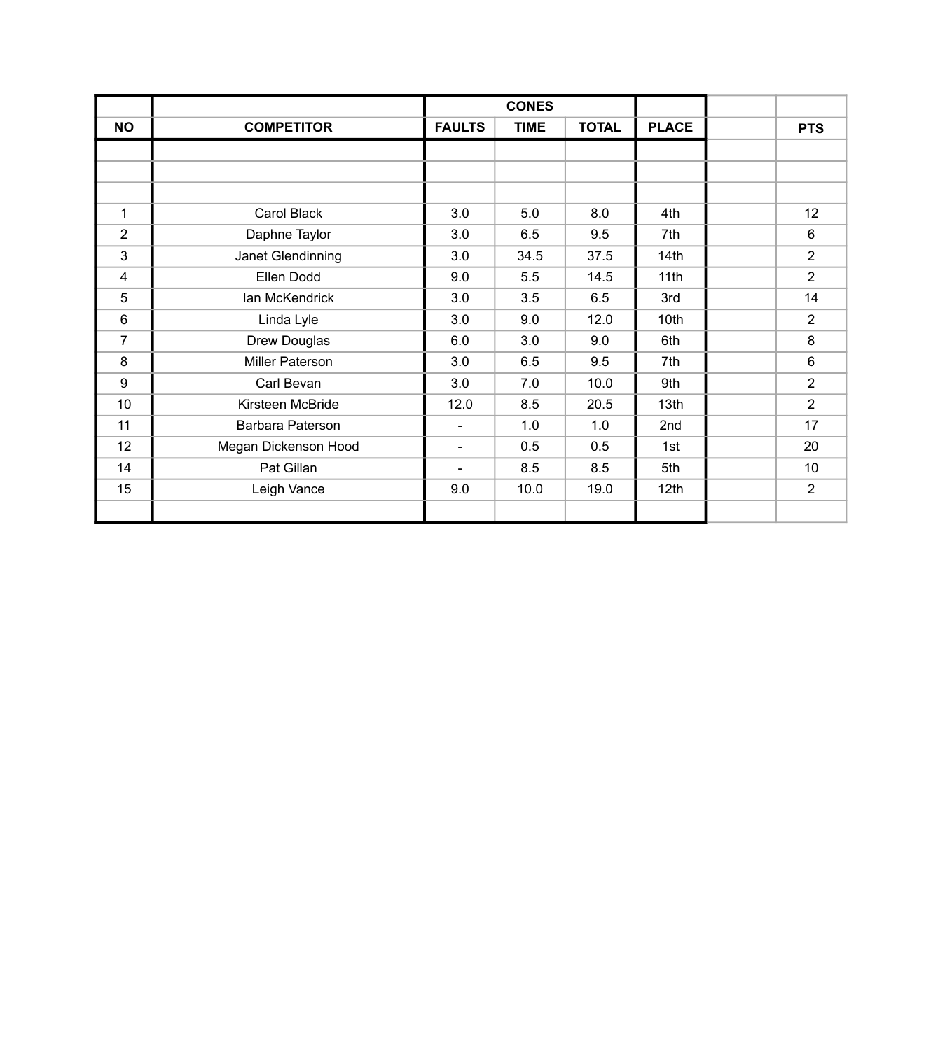|                |                        |                          | <b>CONES</b> |              |              |                |
|----------------|------------------------|--------------------------|--------------|--------------|--------------|----------------|
| <b>NO</b>      | <b>COMPETITOR</b>      | <b>FAULTS</b>            | <b>TIME</b>  | <b>TOTAL</b> | <b>PLACE</b> | <b>PTS</b>     |
|                |                        |                          |              |              |              |                |
|                |                        |                          |              |              |              |                |
|                |                        |                          |              |              |              |                |
| $\mathbf{1}$   | Carol Black            | 3.0                      | 5.0          | 8.0          | 4th          | 12             |
| $\overline{2}$ | Daphne Taylor          | 3.0                      | 6.5          | 9.5          | 7th          | 6              |
| 3              | Janet Glendinning      | 3.0                      | 34.5         | 37.5         | 14th         | $\overline{2}$ |
| 4              | Ellen Dodd             | 9.0                      | 5.5          | 14.5         | 11th         | $\overline{2}$ |
| 5              | Ian McKendrick         | 3.0                      | 3.5          | 6.5          | 3rd          | 14             |
| 6              | Linda Lyle             | 3.0                      | 9.0          | 12.0         | 10th         | $\overline{2}$ |
| $\overline{7}$ | Drew Douglas           | 6.0                      | 3.0          | 9.0          | 6th          | 8              |
| 8              | <b>Miller Paterson</b> | 3.0                      | 6.5          | 9.5          | 7th          | 6              |
| 9              | Carl Bevan             | 3.0                      | 7.0          | 10.0         | 9th          | $\overline{2}$ |
| 10             | Kirsteen McBride       | 12.0                     | 8.5          | 20.5         | 13th         | $\overline{2}$ |
| 11             | Barbara Paterson       | $\overline{\phantom{a}}$ | 1.0          | 1.0          | 2nd          | 17             |
| 12             | Megan Dickenson Hood   | $\overline{\phantom{a}}$ | 0.5          | 0.5          | 1st          | 20             |
| 14             | Pat Gillan             | $\blacksquare$           | 8.5          | 8.5          | 5th          | 10             |
| 15             | Leigh Vance            | 9.0                      | 10.0         | 19.0         | 12th         | $\overline{2}$ |
|                |                        |                          |              |              |              |                |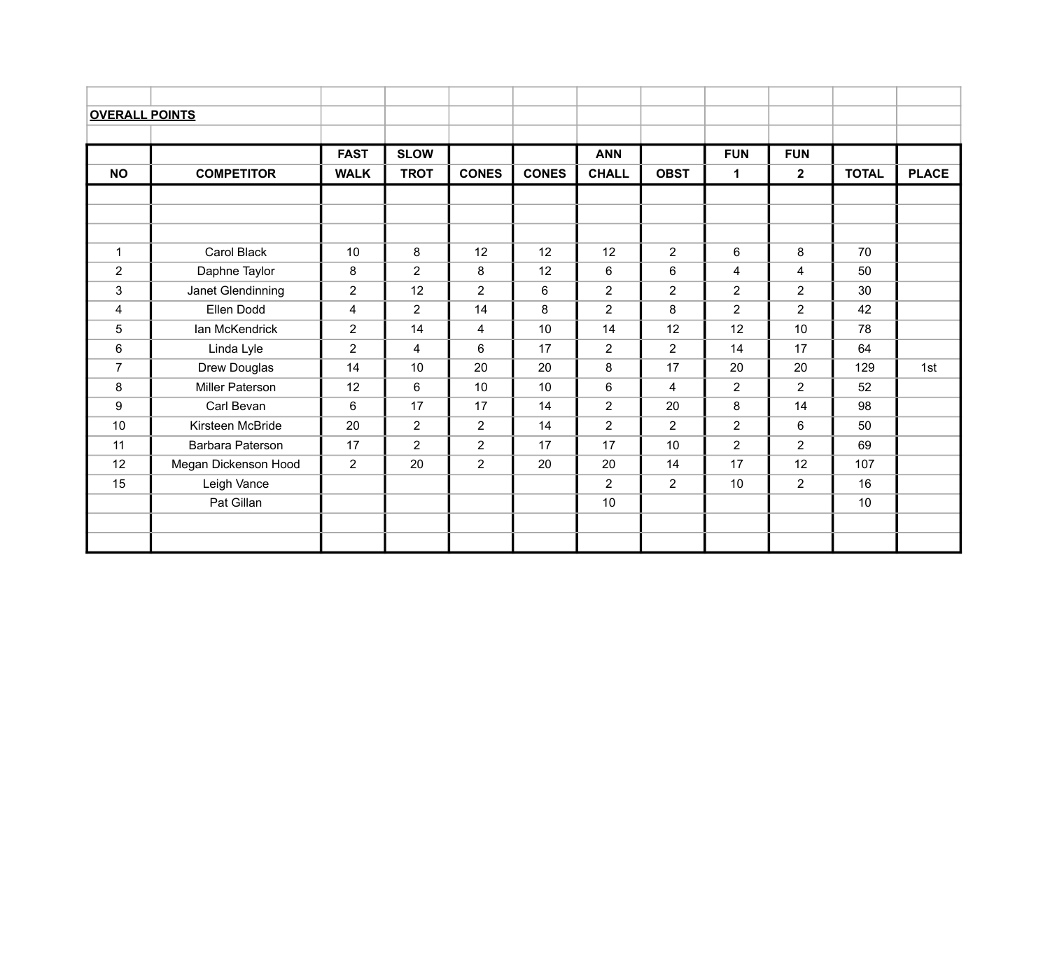| <b>OVERALL POINTS</b> |                      |                |                |                 |                |                |                |                |                |              |              |
|-----------------------|----------------------|----------------|----------------|-----------------|----------------|----------------|----------------|----------------|----------------|--------------|--------------|
|                       |                      |                |                |                 |                |                |                |                |                |              |              |
|                       |                      | <b>FAST</b>    | <b>SLOW</b>    |                 |                | <b>ANN</b>     |                | <b>FUN</b>     | <b>FUN</b>     |              |              |
| <b>NO</b>             | <b>COMPETITOR</b>    | <b>WALK</b>    | <b>TROT</b>    | <b>CONES</b>    | <b>CONES</b>   | <b>CHALL</b>   | <b>OBST</b>    | $\mathbf 1$    | $\mathbf{2}$   | <b>TOTAL</b> | <b>PLACE</b> |
|                       |                      |                |                |                 |                |                |                |                |                |              |              |
|                       |                      |                |                |                 |                |                |                |                |                |              |              |
|                       |                      |                |                |                 |                |                |                |                |                |              |              |
| $\mathbf{1}$          | Carol Black          | 10             | 8              | 12              | 12             | 12             | $\overline{2}$ | 6              | 8              | 70           |              |
| $\overline{2}$        | Daphne Taylor        | 8              | $\overline{2}$ | 8               | 12             | 6              | 6              | $\overline{4}$ | $\overline{4}$ | 50           |              |
| $\mathbf{3}$          | Janet Glendinning    | $\overline{2}$ | 12             | $\overline{2}$  | $6\phantom{1}$ | $\overline{2}$ | $\overline{2}$ | $\overline{2}$ | $\overline{2}$ | 30           |              |
| $\overline{4}$        | Ellen Dodd           | 4              | $\overline{2}$ | 14              | 8              | $\overline{2}$ | 8              | $\overline{2}$ | $\overline{2}$ | 42           |              |
| $5\phantom{.0}$       | Ian McKendrick       | $\overline{2}$ | 14             | 4               | 10             | 14             | 12             | 12             | 10             | 78           |              |
| 6                     | Linda Lyle           | $\overline{2}$ | $\overline{4}$ | $6\phantom{1}6$ | 17             | $\overline{2}$ | $\overline{2}$ | 14             | 17             | 64           |              |
| $\overline{7}$        | Drew Douglas         | 14             | 10             | 20              | 20             | 8              | 17             | 20             | 20             | 129          | 1st          |
| 8                     | Miller Paterson      | 12             | 6              | 10              | 10             | $6\phantom{1}$ | 4              | $\overline{2}$ | $\overline{2}$ | 52           |              |
| 9                     | Carl Bevan           | 6              | 17             | 17              | 14             | $\overline{2}$ | 20             | 8              | 14             | 98           |              |
| 10                    | Kirsteen McBride     | 20             | $\overline{2}$ | $\overline{2}$  | 14             | $\overline{2}$ | $\overline{2}$ | $\overline{2}$ | 6              | 50           |              |
| 11                    | Barbara Paterson     | 17             | $\overline{2}$ | $\overline{2}$  | 17             | 17             | 10             | $\overline{2}$ | $\overline{2}$ | 69           |              |
| 12                    | Megan Dickenson Hood | $\overline{2}$ | 20             | $\overline{2}$  | 20             | 20             | 14             | 17             | 12             | 107          |              |
| 15                    | Leigh Vance          |                |                |                 |                | $\overline{2}$ | $\overline{2}$ | 10             | $\overline{2}$ | 16           |              |
|                       | Pat Gillan           |                |                |                 |                | 10             |                |                |                | 10           |              |
|                       |                      |                |                |                 |                |                |                |                |                |              |              |
|                       |                      |                |                |                 |                |                |                |                |                |              |              |